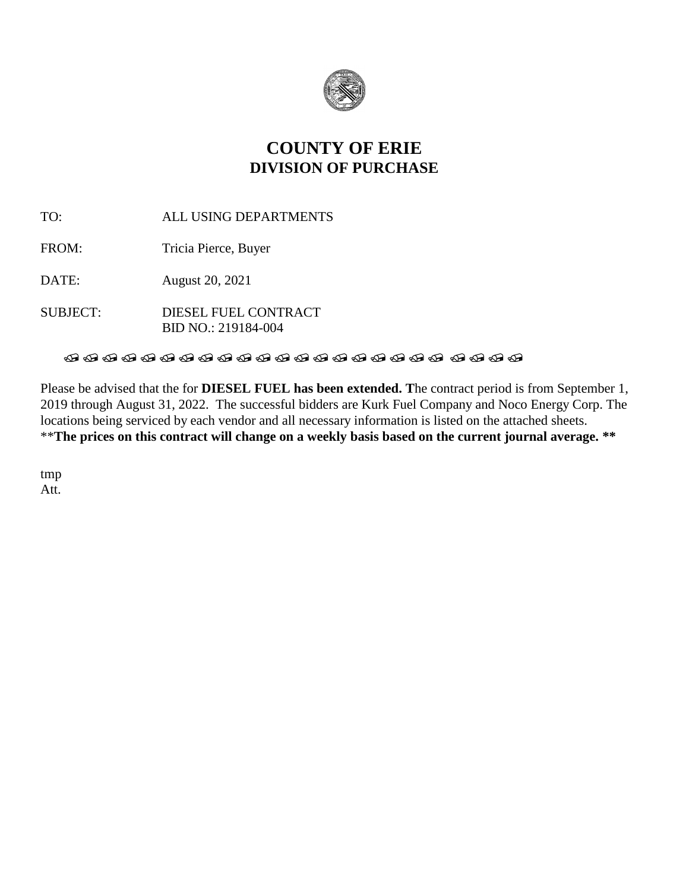

### **COUNTY OF ERIE DIVISION OF PURCHASE**

TO: ALL USING DEPARTMENTS

FROM: Tricia Pierce, Buyer

DATE: August 20, 2021

SUBJECT: DIESEL FUEL CONTRACT BID NO.: 219184-004

### 

Please be advised that the for **DIESEL FUEL has been extended. T**he contract period is from September 1, 2019 through August 31, 2022. The successful bidders are Kurk Fuel Company and Noco Energy Corp. The locations being serviced by each vendor and all necessary information is listed on the attached sheets. \*\***The prices on this contract will change on a weekly basis based on the current journal average. \*\***

tmp Att.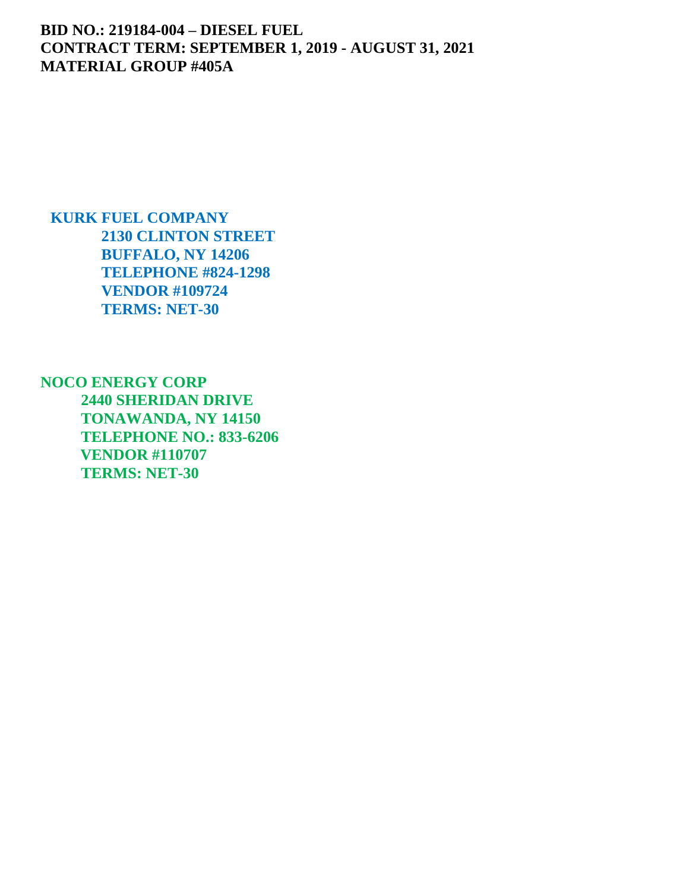### **BID NO.: 219184-004 – DIESEL FUEL CONTRACT TERM: SEPTEMBER 1, 2019 - AUGUST 31, 2021 MATERIAL GROUP #405A**

**KURK FUEL COMPANY 2130 CLINTON STREET BUFFALO, NY 14206 TELEPHONE #824-1298 VENDOR #109724 TERMS: NET-30**

**NOCO ENERGY CORP 2440 SHERIDAN DRIVE TONAWANDA, NY 14150 TELEPHONE NO.: 833-6206 VENDOR #110707 TERMS: NET-30**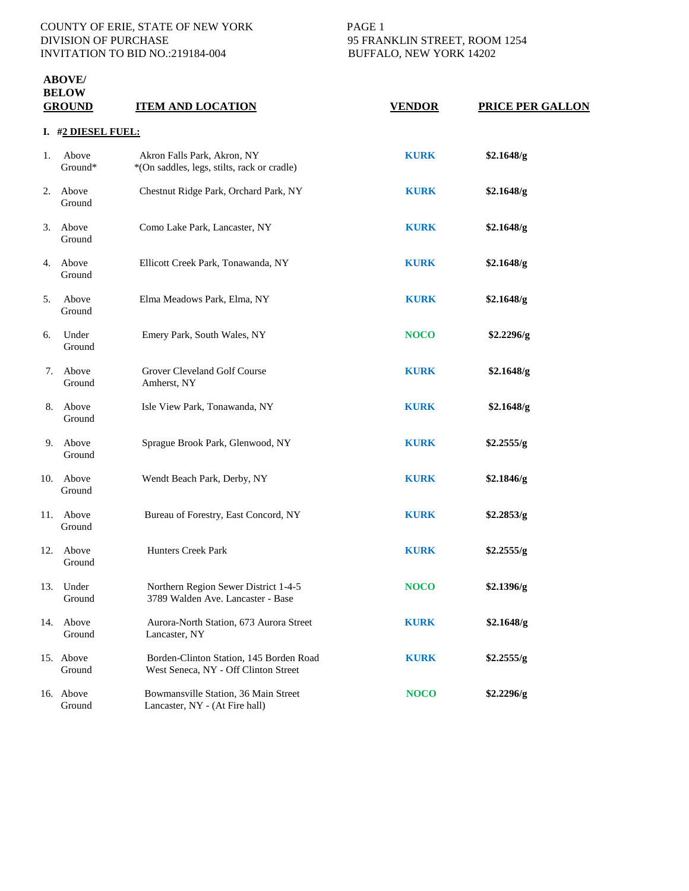## COUNTY OF ERIE, STATE OF NEW YORK PAGE 1<br>DIVISION OF PURCHASE 95 FRAN INVITATION TO BID NO.:219184-004 BUFFALO, NEW YORK 14202

# 95 FRANKLIN STREET, ROOM 1254

### **ABOVE/ BELOW**

| <b>DELV</b> W<br><b>GROUND</b> |                     | <b>ITEM AND LOCATION</b>                                                        | <b>VENDOR</b> | PRICE PER GALLON |  |  |
|--------------------------------|---------------------|---------------------------------------------------------------------------------|---------------|------------------|--|--|
|                                | I. #2 DIESEL FUEL:  |                                                                                 |               |                  |  |  |
| 1.                             | Above<br>Ground*    | Akron Falls Park, Akron, NY<br>*(On saddles, legs, stilts, rack or cradle)      | <b>KURK</b>   | \$2.1648/g       |  |  |
| 2.                             | Above<br>Ground     | Chestnut Ridge Park, Orchard Park, NY                                           | <b>KURK</b>   | \$2.1648/g       |  |  |
| 3.                             | Above<br>Ground     | Como Lake Park, Lancaster, NY                                                   | <b>KURK</b>   | \$2.1648/g       |  |  |
| 4.                             | Above<br>Ground     | Ellicott Creek Park, Tonawanda, NY                                              | <b>KURK</b>   | \$2.1648/g       |  |  |
| 5.                             | Above<br>Ground     | Elma Meadows Park, Elma, NY                                                     | <b>KURK</b>   | \$2.1648/g       |  |  |
| 6.                             | Under<br>Ground     | Emery Park, South Wales, NY                                                     | <b>NOCO</b>   | \$2.2296/g       |  |  |
| 7.                             | Above<br>Ground     | Grover Cleveland Golf Course<br>Amherst, NY                                     | <b>KURK</b>   | \$2.1648/g       |  |  |
| 8.                             | Above<br>Ground     | Isle View Park, Tonawanda, NY                                                   | <b>KURK</b>   | \$2.1648/g       |  |  |
|                                | 9. Above<br>Ground  | Sprague Brook Park, Glenwood, NY                                                | <b>KURK</b>   | \$2.2555/g       |  |  |
| 10.                            | Above<br>Ground     | Wendt Beach Park, Derby, NY                                                     | <b>KURK</b>   | \$2.1846/g       |  |  |
| 11.                            | Above<br>Ground     | Bureau of Forestry, East Concord, NY                                            | <b>KURK</b>   | \$2.2853/g       |  |  |
| 12.                            | Above<br>Ground     | Hunters Creek Park                                                              | <b>KURK</b>   | \$2.2555/g       |  |  |
|                                | 13. Under<br>Ground | Northern Region Sewer District 1-4-5<br>3789 Walden Ave. Lancaster - Base       | <b>NOCO</b>   | \$2.1396/g       |  |  |
| 14.                            | Above<br>Ground     | Aurora-North Station, 673 Aurora Street<br>Lancaster, NY                        | <b>KURK</b>   | \$2.1648/g       |  |  |
|                                | 15. Above<br>Ground | Borden-Clinton Station, 145 Borden Road<br>West Seneca, NY - Off Clinton Street | <b>KURK</b>   | \$2.2555/g       |  |  |
|                                | 16. Above<br>Ground | Bowmansville Station, 36 Main Street<br>Lancaster, NY - (At Fire hall)          | <b>NOCO</b>   | \$2.2296/g       |  |  |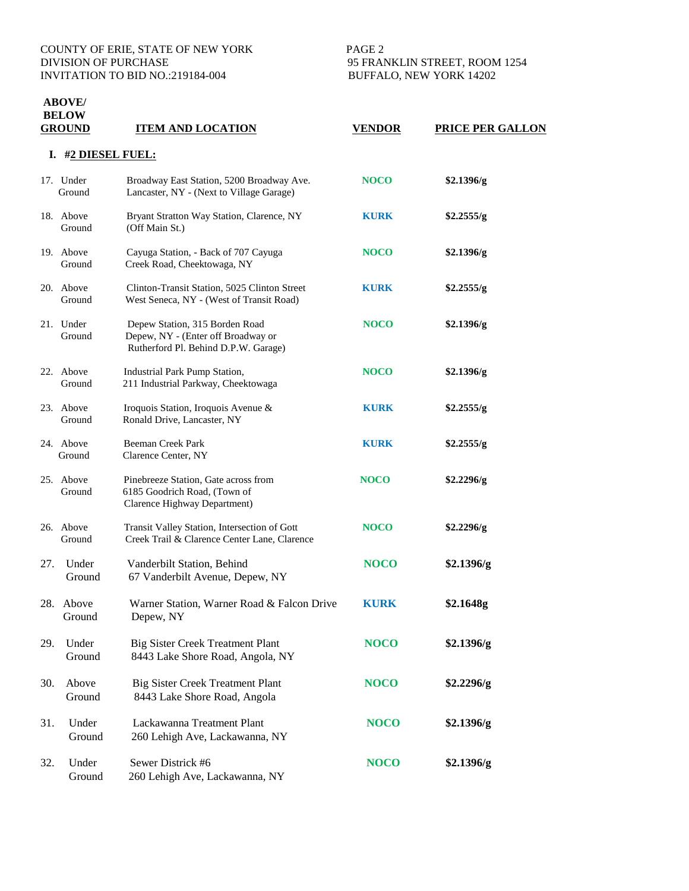#### COUNTY OF ERIE, STATE OF NEW YORK PAGE 2 DIVISION OF PURCHASE 95 FRANKLIN STREET, ROOM 1254<br>INVITATION TO BID NO.:219184-004 BUFFALO, NEW YORK 14202 INVITATION TO BID NO.:219184-004

**ABOVE/** 

|     | <b>BELOW</b><br><b>GROUND</b> | <b>ITEM AND LOCATION</b>                                                                                     | <u>VENDOR</u> | <b>PRICE PER GALLON</b> |  |  |  |
|-----|-------------------------------|--------------------------------------------------------------------------------------------------------------|---------------|-------------------------|--|--|--|
|     | #2 DIESEL FUEL:<br>ı.         |                                                                                                              |               |                         |  |  |  |
|     | 17. Under<br>Ground           | Broadway East Station, 5200 Broadway Ave.<br>Lancaster, NY - (Next to Village Garage)                        | <b>NOCO</b>   | \$2.1396/g              |  |  |  |
|     | 18. Above<br>Ground           | Bryant Stratton Way Station, Clarence, NY<br>(Off Main St.)                                                  | <b>KURK</b>   | \$2.2555/g              |  |  |  |
|     | 19. Above<br>Ground           | Cayuga Station, - Back of 707 Cayuga<br>Creek Road, Cheektowaga, NY                                          | <b>NOCO</b>   | \$2.1396/g              |  |  |  |
|     | 20. Above<br>Ground           | Clinton-Transit Station, 5025 Clinton Street<br>West Seneca, NY - (West of Transit Road)                     | <b>KURK</b>   | \$2.2555/g              |  |  |  |
|     | 21. Under<br>Ground           | Depew Station, 315 Borden Road<br>Depew, NY - (Enter off Broadway or<br>Rutherford Pl. Behind D.P.W. Garage) | <b>NOCO</b>   | \$2.1396/g              |  |  |  |
|     | 22. Above<br>Ground           | Industrial Park Pump Station,<br>211 Industrial Parkway, Cheektowaga                                         | <b>NOCO</b>   | \$2.1396/g              |  |  |  |
|     | 23. Above<br>Ground           | Iroquois Station, Iroquois Avenue &<br>Ronald Drive, Lancaster, NY                                           | <b>KURK</b>   | \$2.2555/g              |  |  |  |
|     | 24. Above<br>Ground           | <b>Beeman Creek Park</b><br>Clarence Center, NY                                                              | <b>KURK</b>   | \$2.2555/g              |  |  |  |
|     | 25. Above<br>Ground           | Pinebreeze Station, Gate across from<br>6185 Goodrich Road, (Town of<br>Clarence Highway Department)         | <b>NOCO</b>   | \$2.2296/g              |  |  |  |
|     | 26. Above<br>Ground           | Transit Valley Station, Intersection of Gott<br>Creek Trail & Clarence Center Lane, Clarence                 | <b>NOCO</b>   | \$2.2296/g              |  |  |  |
| 27. | Under<br>Ground               | Vanderbilt Station, Behind<br>67 Vanderbilt Avenue, Depew, NY                                                | <b>NOCO</b>   | \$2.1396/g              |  |  |  |
|     | 28. Above<br>Ground           | Warner Station, Warner Road & Falcon Drive<br>Depew, NY                                                      | <b>KURK</b>   | \$2.1648g               |  |  |  |
| 29. | Under<br>Ground               | <b>Big Sister Creek Treatment Plant</b><br>8443 Lake Shore Road, Angola, NY                                  | <b>NOCO</b>   | \$2.1396/g              |  |  |  |
| 30. | Above<br>Ground               | <b>Big Sister Creek Treatment Plant</b><br>8443 Lake Shore Road, Angola                                      | <b>NOCO</b>   | \$2.2296/g              |  |  |  |
| 31. | Under<br>Ground               | Lackawanna Treatment Plant<br>260 Lehigh Ave, Lackawanna, NY                                                 | <b>NOCO</b>   | \$2.1396/g              |  |  |  |
| 32. | Under<br>Ground               | Sewer Districk #6<br>260 Lehigh Ave, Lackawanna, NY                                                          | <b>NOCO</b>   | \$2.1396/g              |  |  |  |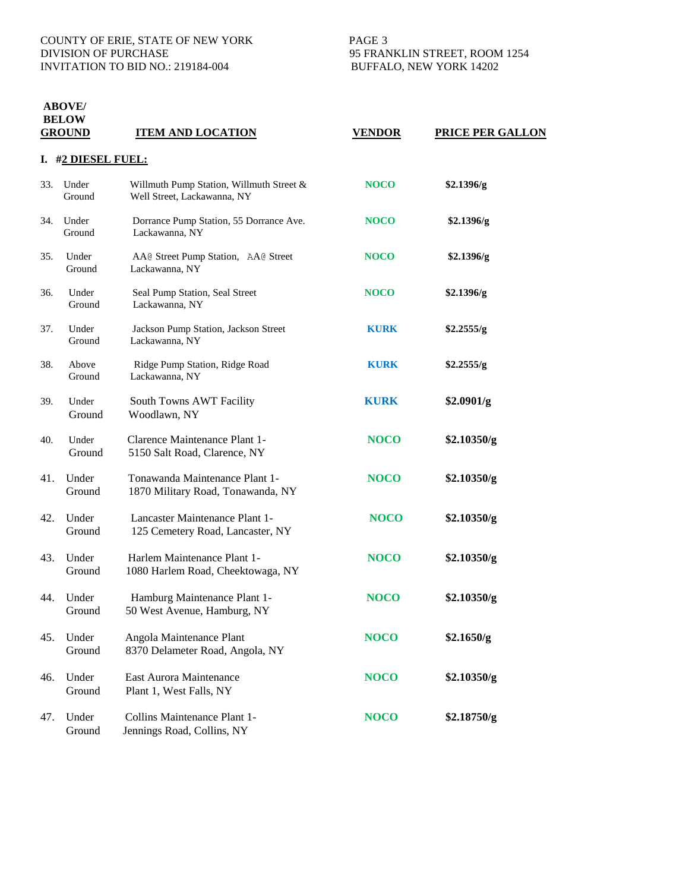### **ABOVE/ BELOW**

| <u>GROUND</u> |                 | <b>ITEM AND LOCATION</b>                                                | <b>VENDOR</b> | <b>PRICE PER GALLON</b> |  |  |
|---------------|-----------------|-------------------------------------------------------------------------|---------------|-------------------------|--|--|
| I.            | #2 DIESEL FUEL: |                                                                         |               |                         |  |  |
| 33.           | Under<br>Ground | Willmuth Pump Station, Willmuth Street &<br>Well Street, Lackawanna, NY | <b>NOCO</b>   | \$2.1396/g              |  |  |
| 34.           | Under<br>Ground | Dorrance Pump Station, 55 Dorrance Ave.<br>Lackawanna, NY               | <b>NOCO</b>   | \$2.1396/g              |  |  |
| 35.           | Under<br>Ground | AA@ Street Pump Station, AA@ Street<br>Lackawanna, NY                   | <b>NOCO</b>   | \$2.1396/g              |  |  |
| 36.           | Under<br>Ground | Seal Pump Station, Seal Street<br>Lackawanna, NY                        | <b>NOCO</b>   | \$2.1396/g              |  |  |
| 37.           | Under<br>Ground | Jackson Pump Station, Jackson Street<br>Lackawanna, NY                  | <b>KURK</b>   | \$2.2555/g              |  |  |
| 38.           | Above<br>Ground | Ridge Pump Station, Ridge Road<br>Lackawanna, NY                        | <b>KURK</b>   | \$2.2555/g              |  |  |
| 39.           | Under<br>Ground | South Towns AWT Facility<br>Woodlawn, NY                                | <b>KURK</b>   | \$2.0901/g              |  |  |
| 40.           | Under<br>Ground | Clarence Maintenance Plant 1-<br>5150 Salt Road, Clarence, NY           | <b>NOCO</b>   | \$2.10350/g             |  |  |
| 41.           | Under<br>Ground | Tonawanda Maintenance Plant 1-<br>1870 Military Road, Tonawanda, NY     | <b>NOCO</b>   | \$2.10350/g             |  |  |
| 42.           | Under<br>Ground | Lancaster Maintenance Plant 1-<br>125 Cemetery Road, Lancaster, NY      | <b>NOCO</b>   | \$2.10350/g             |  |  |
| 43.           | Under<br>Ground | Harlem Maintenance Plant 1-<br>1080 Harlem Road, Cheektowaga, NY        | <b>NOCO</b>   | \$2.10350/g             |  |  |
| 44.           | Under<br>Ground | Hamburg Maintenance Plant 1-<br>50 West Avenue, Hamburg, NY             | <b>NOCO</b>   | \$2.10350/g             |  |  |
| 45.           | Under<br>Ground | Angola Maintenance Plant<br>8370 Delameter Road, Angola, NY             | <b>NOCO</b>   | \$2.1650/g              |  |  |
| 46.           | Under<br>Ground | East Aurora Maintenance<br>Plant 1, West Falls, NY                      | <b>NOCO</b>   | \$2.10350/g             |  |  |
| 47.           | Under<br>Ground | Collins Maintenance Plant 1-<br>Jennings Road, Collins, NY              | <b>NOCO</b>   | \$2.18750/g             |  |  |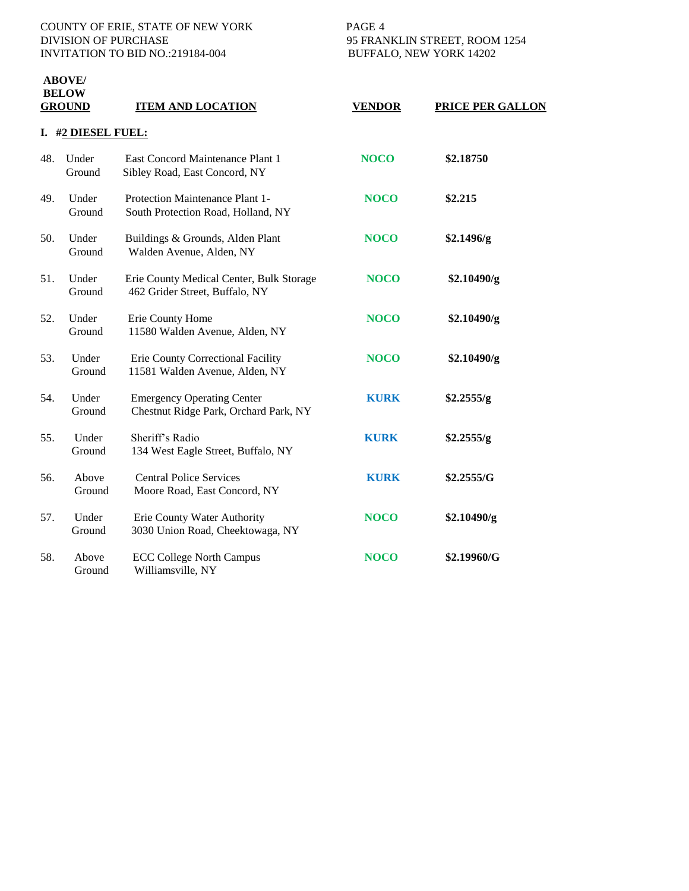## COUNTY OF ERIE, STATE OF NEW YORK PAGE 4<br>DIVISION OF PURCHASE 95 FRAN INVITATION TO BID NO.:219184-004 BUFFALO, NEW YORK 14202

**ABOVE/** 

95 FRANKLIN STREET, ROOM 1254

| <b>BELOW</b><br><b>GROUND</b> |                    | <b>ITEM AND LOCATION</b>                                                   | <b>VENDOR</b> | <b>PRICE PER GALLON</b> |  |  |
|-------------------------------|--------------------|----------------------------------------------------------------------------|---------------|-------------------------|--|--|
|                               | I. #2 DIESEL FUEL: |                                                                            |               |                         |  |  |
| 48.                           | Under<br>Ground    | East Concord Maintenance Plant 1<br>Sibley Road, East Concord, NY          | <b>NOCO</b>   | \$2.18750               |  |  |
| 49.                           | Under<br>Ground    | Protection Maintenance Plant 1-<br>South Protection Road, Holland, NY      | <b>NOCO</b>   | \$2.215                 |  |  |
| 50.                           | Under<br>Ground    | Buildings & Grounds, Alden Plant<br>Walden Avenue, Alden, NY               | <b>NOCO</b>   | \$2.1496/g              |  |  |
| 51.                           | Under<br>Ground    | Erie County Medical Center, Bulk Storage<br>462 Grider Street, Buffalo, NY | <b>NOCO</b>   | \$2.10490/g             |  |  |
| 52.                           | Under<br>Ground    | Erie County Home<br>11580 Walden Avenue, Alden, NY                         | <b>NOCO</b>   | \$2.10490/g             |  |  |
| 53.                           | Under<br>Ground    | Erie County Correctional Facility<br>11581 Walden Avenue, Alden, NY        | <b>NOCO</b>   | \$2.10490/g             |  |  |
| 54.                           | Under<br>Ground    | <b>Emergency Operating Center</b><br>Chestnut Ridge Park, Orchard Park, NY | <b>KURK</b>   | \$2.2555/g              |  |  |
| 55.                           | Under<br>Ground    | Sheriff's Radio<br>134 West Eagle Street, Buffalo, NY                      | <b>KURK</b>   | \$2.2555/g              |  |  |
| 56.                           | Above<br>Ground    | <b>Central Police Services</b><br>Moore Road, East Concord, NY             | <b>KURK</b>   | \$2.2555/G              |  |  |
| 57.                           | Under<br>Ground    | Erie County Water Authority<br>3030 Union Road, Cheektowaga, NY            | <b>NOCO</b>   | \$2.10490/g             |  |  |
| 58.                           | Above<br>Ground    | <b>ECC College North Campus</b><br>Williamsville, NY                       | <b>NOCO</b>   | \$2.19960/G             |  |  |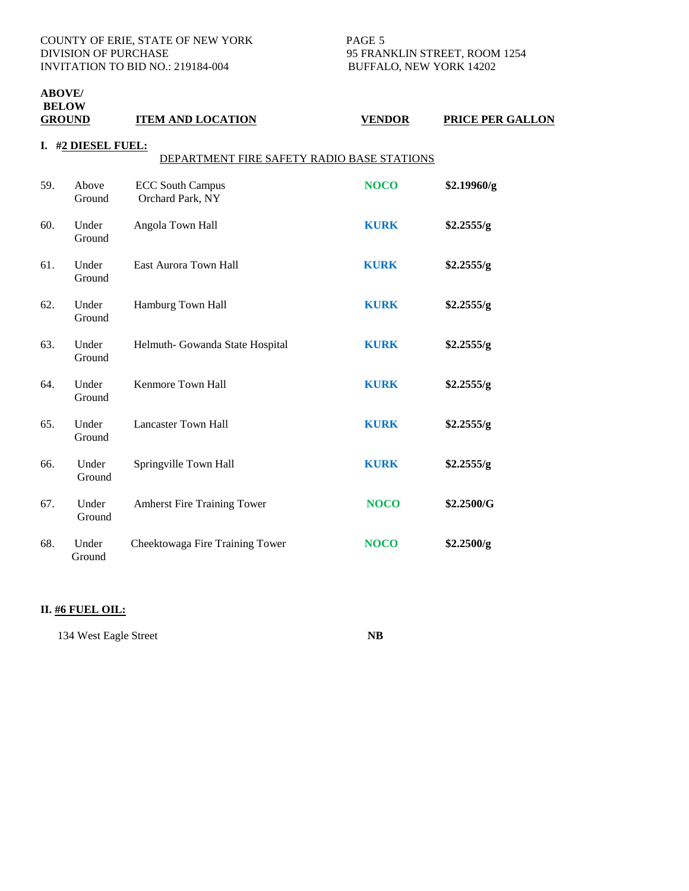COUNTY OF ERIE, STATE OF NEW YORK PAGE 5 DIVISION OF PURCHASE 95 FRANKLIN STREET, ROOM 1254 INVITATION TO BID NO.: 219184-004 BUFFALO, NEW YORK 14202

## **ABOVE/**<br>**RELOW**

| <b>BELOW</b><br><b>GROUND</b> |                                                               | <b>ITEM AND LOCATION</b>                    | <b>VENDOR</b> | PRICE PER GALLON |  |  |
|-------------------------------|---------------------------------------------------------------|---------------------------------------------|---------------|------------------|--|--|
| I.                            | #2 DIESEL FUEL:<br>DEPARTMENT FIRE SAFETY RADIO BASE STATIONS |                                             |               |                  |  |  |
| 59.                           | Above<br>Ground                                               | <b>ECC South Campus</b><br>Orchard Park, NY | <b>NOCO</b>   | \$2.19960/g      |  |  |
| 60.                           | Under<br>Ground                                               | Angola Town Hall                            | <b>KURK</b>   | \$2.2555/g       |  |  |
| 61.                           | Under<br>Ground                                               | East Aurora Town Hall                       | <b>KURK</b>   | \$2.2555/g       |  |  |
| 62.                           | Under<br>Ground                                               | Hamburg Town Hall                           | <b>KURK</b>   | \$2.2555/g       |  |  |
| 63.                           | Under<br>Ground                                               | Helmuth- Gowanda State Hospital             | <b>KURK</b>   | \$2.2555/g       |  |  |
| 64.                           | Under<br>Ground                                               | Kenmore Town Hall                           | <b>KURK</b>   | \$2.2555/g       |  |  |
| 65.                           | Under<br>Ground                                               | Lancaster Town Hall                         | <b>KURK</b>   | \$2.2555/g       |  |  |

66. Under Springville Town Hall **KURK \$2.2555/g**

67. Under Amherst Fire Training Tower **NOCO \$2.2500/G**

68. Under Cheektowaga Fire Training Tower **NOCO \$2.2500/g**

### **II. #6 FUEL OIL:**

Ground

Ground

Ground

134 West Eagle Street **NB**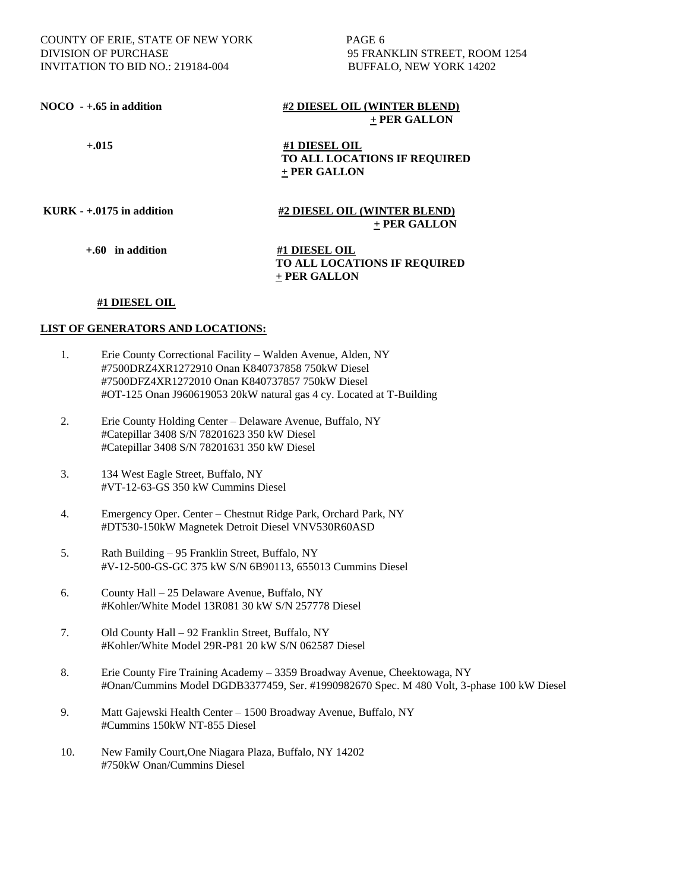COUNTY OF ERIE, STATE OF NEW YORK PAGE 6 DIVISION OF PURCHASE 95 FRANKLIN STREET, ROOM 1254 INVITATION TO BID NO.: 219184-004 BUFFALO, NEW YORK 14202

#### **NOCO** -  $+.65$  in addition  $\frac{#2 \text{ DIESEL} \text{ OIL}}{#2 \text{ DIESEL} \text{ OIL}}$  **+ PER GALLON**

 **+.015 #1 DIESEL OIL TO ALL LOCATIONS IF REQUIRED + PER GALLON**

**KURK - +.0175 in addition #2 DIESEL OIL (WINTER BLEND) + PER GALLON**

 **+.60 in addition #1 DIESEL OIL** 

 **TO ALL LOCATIONS IF REQUIRED + PER GALLON**

#### **#1 DIESEL OIL**

- 1. Erie County Correctional Facility Walden Avenue, Alden, NY #7500DRZ4XR1272910 Onan K840737858 750kW Diesel #7500DFZ4XR1272010 Onan K840737857 750kW Diesel #OT-125 Onan J960619053 20kW natural gas 4 cy. Located at T-Building
- 2. Erie County Holding Center Delaware Avenue, Buffalo, NY #Catepillar 3408 S/N 78201623 350 kW Diesel #Catepillar 3408 S/N 78201631 350 kW Diesel
- 3. 134 West Eagle Street, Buffalo, NY #VT-12-63-GS 350 kW Cummins Diesel
- 4. Emergency Oper. Center Chestnut Ridge Park, Orchard Park, NY #DT530-150kW Magnetek Detroit Diesel VNV530R60ASD
- 5. Rath Building 95 Franklin Street, Buffalo, NY #V-12-500-GS-GC 375 kW S/N 6B90113, 655013 Cummins Diesel
- 6. County Hall 25 Delaware Avenue, Buffalo, NY #Kohler/White Model 13R081 30 kW S/N 257778 Diesel
- 7. Old County Hall 92 Franklin Street, Buffalo, NY #Kohler/White Model 29R-P81 20 kW S/N 062587 Diesel
- 8. Erie County Fire Training Academy 3359 Broadway Avenue, Cheektowaga, NY #Onan/Cummins Model DGDB3377459, Ser. #1990982670 Spec. M 480 Volt, 3-phase 100 kW Diesel
- 9. Matt Gajewski Health Center 1500 Broadway Avenue, Buffalo, NY #Cummins 150kW NT-855 Diesel
- 10. New Family Court,One Niagara Plaza, Buffalo, NY 14202 #750kW Onan/Cummins Diesel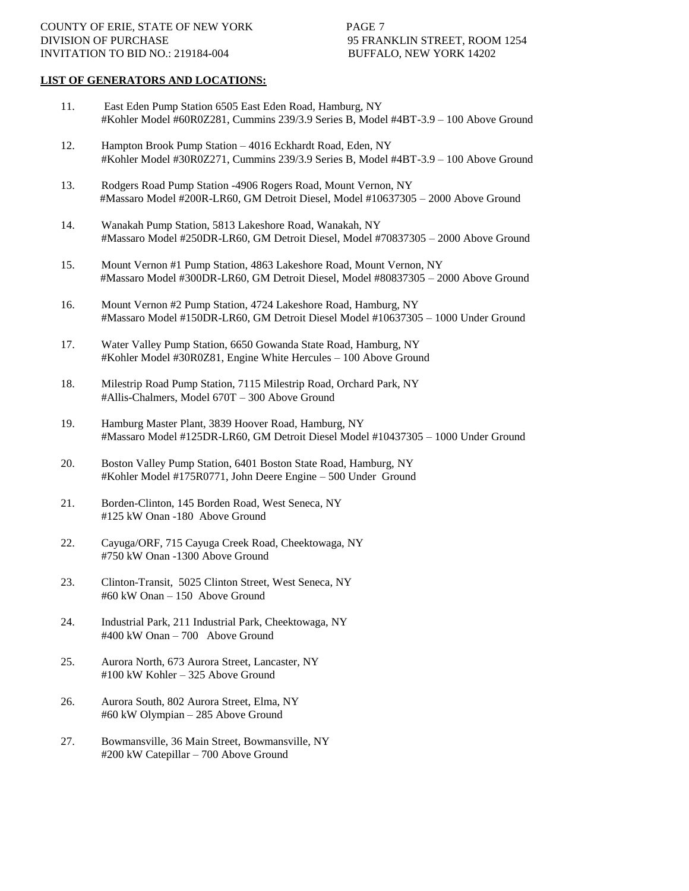- 11. East Eden Pump Station 6505 East Eden Road, Hamburg, NY #Kohler Model #60R0Z281, Cummins 239/3.9 Series B, Model #4BT-3.9 – 100 Above Ground
- 12. Hampton Brook Pump Station 4016 Eckhardt Road, Eden, NY #Kohler Model #30R0Z271, Cummins 239/3.9 Series B, Model #4BT-3.9 – 100 Above Ground
- 13. Rodgers Road Pump Station -4906 Rogers Road, Mount Vernon, NY #Massaro Model #200R-LR60, GM Detroit Diesel, Model #10637305 – 2000 Above Ground
- 14. Wanakah Pump Station, 5813 Lakeshore Road, Wanakah, NY #Massaro Model #250DR-LR60, GM Detroit Diesel, Model #70837305 – 2000 Above Ground
- 15. Mount Vernon #1 Pump Station, 4863 Lakeshore Road, Mount Vernon, NY #Massaro Model #300DR-LR60, GM Detroit Diesel, Model #80837305 – 2000 Above Ground
- 16. Mount Vernon #2 Pump Station, 4724 Lakeshore Road, Hamburg, NY #Massaro Model #150DR-LR60, GM Detroit Diesel Model #10637305 – 1000 Under Ground
- 17. Water Valley Pump Station, 6650 Gowanda State Road, Hamburg, NY #Kohler Model #30R0Z81, Engine White Hercules – 100 Above Ground
- 18. Milestrip Road Pump Station, 7115 Milestrip Road, Orchard Park, NY #Allis-Chalmers, Model 670T – 300 Above Ground
- 19. Hamburg Master Plant, 3839 Hoover Road, Hamburg, NY #Massaro Model #125DR-LR60, GM Detroit Diesel Model #10437305 – 1000 Under Ground
- 20. Boston Valley Pump Station, 6401 Boston State Road, Hamburg, NY #Kohler Model #175R0771, John Deere Engine – 500 Under Ground
- 21. Borden-Clinton, 145 Borden Road, West Seneca, NY #125 kW Onan -180 Above Ground
- 22. Cayuga/ORF, 715 Cayuga Creek Road, Cheektowaga, NY #750 kW Onan -1300 Above Ground
- 23. Clinton-Transit, 5025 Clinton Street, West Seneca, NY #60 kW Onan – 150 Above Ground
- 24. Industrial Park, 211 Industrial Park, Cheektowaga, NY #400 kW Onan – 700 Above Ground
- 25. Aurora North, 673 Aurora Street, Lancaster, NY #100 kW Kohler – 325 Above Ground
- 26. Aurora South, 802 Aurora Street, Elma, NY #60 kW Olympian – 285 Above Ground
- 27. Bowmansville, 36 Main Street, Bowmansville, NY #200 kW Catepillar – 700 Above Ground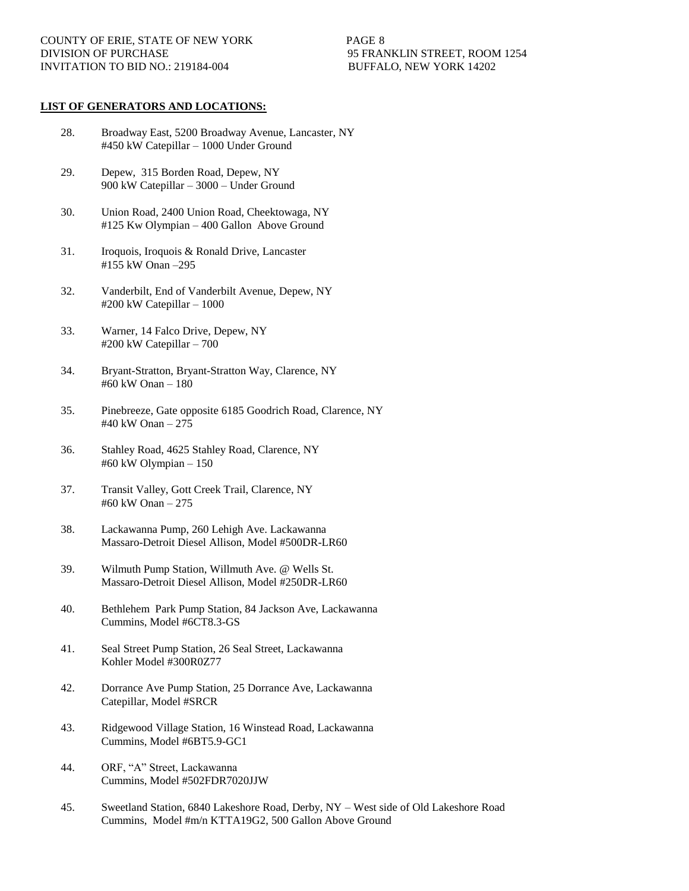- 28. Broadway East, 5200 Broadway Avenue, Lancaster, NY #450 kW Catepillar – 1000 Under Ground
- 29. Depew, 315 Borden Road, Depew, NY 900 kW Catepillar – 3000 – Under Ground
- 30. Union Road, 2400 Union Road, Cheektowaga, NY #125 Kw Olympian – 400 Gallon Above Ground
- 31. Iroquois, Iroquois & Ronald Drive, Lancaster #155 kW Onan –295
- 32. Vanderbilt, End of Vanderbilt Avenue, Depew, NY #200 kW Catepillar – 1000
- 33. Warner, 14 Falco Drive, Depew, NY #200 kW Catepillar – 700
- 34. Bryant-Stratton, Bryant-Stratton Way, Clarence, NY #60 kW Onan – 180
- 35. Pinebreeze, Gate opposite 6185 Goodrich Road, Clarence, NY #40 kW Onan – 275
- 36. Stahley Road, 4625 Stahley Road, Clarence, NY #60 kW Olympian – 150
- 37. Transit Valley, Gott Creek Trail, Clarence, NY #60 kW Onan – 275
- 38. Lackawanna Pump, 260 Lehigh Ave. Lackawanna Massaro-Detroit Diesel Allison, Model #500DR-LR60
- 39. Wilmuth Pump Station, Willmuth Ave. @ Wells St. Massaro-Detroit Diesel Allison, Model #250DR-LR60
- 40. Bethlehem Park Pump Station, 84 Jackson Ave, Lackawanna Cummins, Model #6CT8.3-GS
- 41. Seal Street Pump Station, 26 Seal Street, Lackawanna Kohler Model #300R0Z77
- 42. Dorrance Ave Pump Station, 25 Dorrance Ave, Lackawanna Catepillar, Model #SRCR
- 43. Ridgewood Village Station, 16 Winstead Road, Lackawanna Cummins, Model #6BT5.9-GC1
- 44. ORF, "A" Street, Lackawanna Cummins, Model #502FDR7020JJW
- 45. Sweetland Station, 6840 Lakeshore Road, Derby, NY West side of Old Lakeshore Road Cummins, Model #m/n KTTA19G2, 500 Gallon Above Ground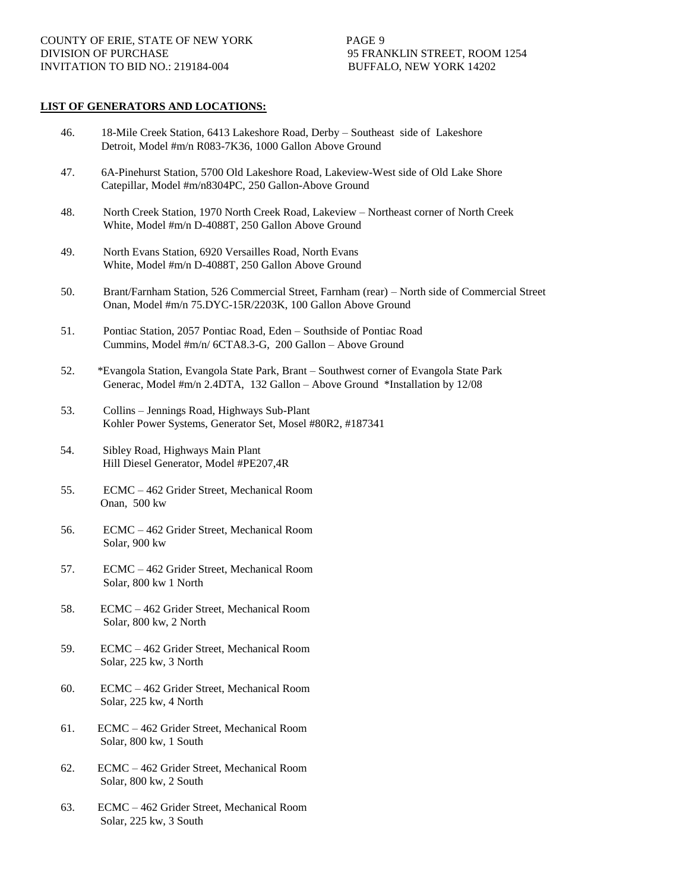- 46. 18-Mile Creek Station, 6413 Lakeshore Road, Derby Southeast side of Lakeshore Detroit, Model #m/n R083-7K36, 1000 Gallon Above Ground
- 47. 6A-Pinehurst Station, 5700 Old Lakeshore Road, Lakeview-West side of Old Lake Shore Catepillar, Model #m/n8304PC, 250 Gallon-Above Ground
- 48. North Creek Station, 1970 North Creek Road, Lakeview Northeast corner of North Creek White, Model #m/n D-4088T, 250 Gallon Above Ground
- 49. North Evans Station, 6920 Versailles Road, North Evans White, Model #m/n D-4088T, 250 Gallon Above Ground
- 50. Brant/Farnham Station, 526 Commercial Street, Farnham (rear) North side of Commercial Street Onan, Model #m/n 75.DYC-15R/2203K, 100 Gallon Above Ground
- 51. Pontiac Station, 2057 Pontiac Road, Eden Southside of Pontiac Road Cummins, Model #m/n/ 6CTA8.3-G, 200 Gallon – Above Ground
- 52. \*Evangola Station, Evangola State Park, Brant Southwest corner of Evangola State Park Generac, Model #m/n 2.4DTA, 132 Gallon – Above Ground \*Installation by 12/08
- 53. Collins Jennings Road, Highways Sub-Plant Kohler Power Systems, Generator Set, Mosel #80R2, #187341
- 54. Sibley Road, Highways Main Plant Hill Diesel Generator, Model #PE207,4R
- 55. ECMC 462 Grider Street, Mechanical Room Onan, 500 kw
- 56. ECMC 462 Grider Street, Mechanical Room Solar, 900 kw
- 57. ECMC 462 Grider Street, Mechanical Room Solar, 800 kw 1 North
- 58. ECMC 462 Grider Street, Mechanical Room Solar, 800 kw, 2 North
- 59. ECMC 462 Grider Street, Mechanical Room Solar, 225 kw, 3 North
- 60. ECMC 462 Grider Street, Mechanical Room Solar, 225 kw, 4 North
- 61. ECMC 462 Grider Street, Mechanical Room Solar, 800 kw, 1 South
- 62. ECMC 462 Grider Street, Mechanical Room Solar, 800 kw, 2 South
- 63. ECMC 462 Grider Street, Mechanical Room Solar, 225 kw, 3 South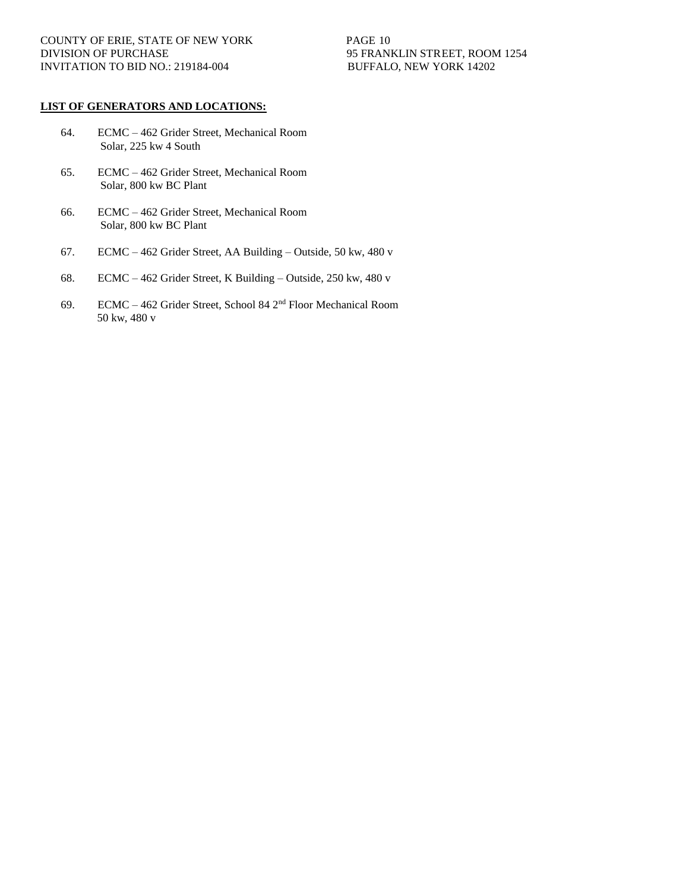- 64. ECMC 462 Grider Street, Mechanical Room Solar, 225 kw 4 South
- 65. ECMC 462 Grider Street, Mechanical Room Solar, 800 kw BC Plant
- 66. ECMC 462 Grider Street, Mechanical Room Solar, 800 kw BC Plant
- 67. ECMC 462 Grider Street, AA Building Outside, 50 kw, 480 v
- 68. ECMC 462 Grider Street, K Building Outside, 250 kw, 480 v
- 69. ECMC 462 Grider Street, School 84 2nd Floor Mechanical Room 50 kw, 480 v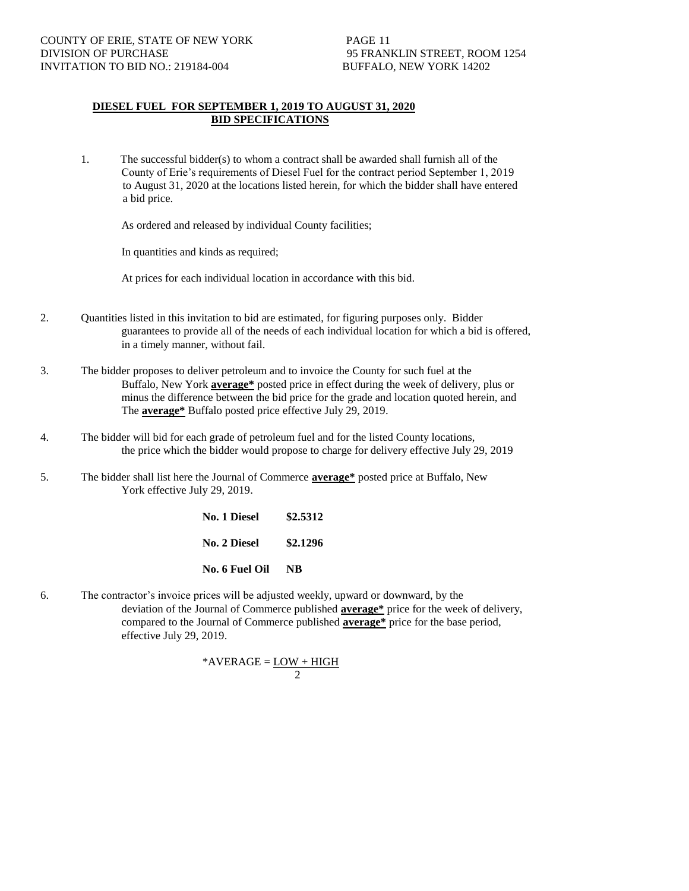#### **DIESEL FUEL FOR SEPTEMBER 1, 2019 TO AUGUST 31, 2020 BID SPECIFICATIONS**

1. The successful bidder(s) to whom a contract shall be awarded shall furnish all of the County of Erie's requirements of Diesel Fuel for the contract period September 1, 2019 to August 31, 2020 at the locations listed herein, for which the bidder shall have entered a bid price.

As ordered and released by individual County facilities;

In quantities and kinds as required;

At prices for each individual location in accordance with this bid.

- 2. Quantities listed in this invitation to bid are estimated, for figuring purposes only. Bidder guarantees to provide all of the needs of each individual location for which a bid is offered, in a timely manner, without fail.
- 3. The bidder proposes to deliver petroleum and to invoice the County for such fuel at the Buffalo, New York **average\*** posted price in effect during the week of delivery, plus or minus the difference between the bid price for the grade and location quoted herein, and The **average\*** Buffalo posted price effective July 29, 2019.
- 4. The bidder will bid for each grade of petroleum fuel and for the listed County locations, the price which the bidder would propose to charge for delivery effective July 29, 2019
- 5. The bidder shall list here the Journal of Commerce **average\*** posted price at Buffalo, New York effective July 29, 2019.

**No. 1 Diesel \$2.5312 No. 2 Diesel \$2.1296 No. 6 Fuel Oil NB**

6. The contractor's invoice prices will be adjusted weekly, upward or downward, by the deviation of the Journal of Commerce published **average\*** price for the week of delivery, compared to the Journal of Commerce published **average\*** price for the base period, effective July 29, 2019.

$$
*AVERAGE = \underline{LOW + HIGH} 2
$$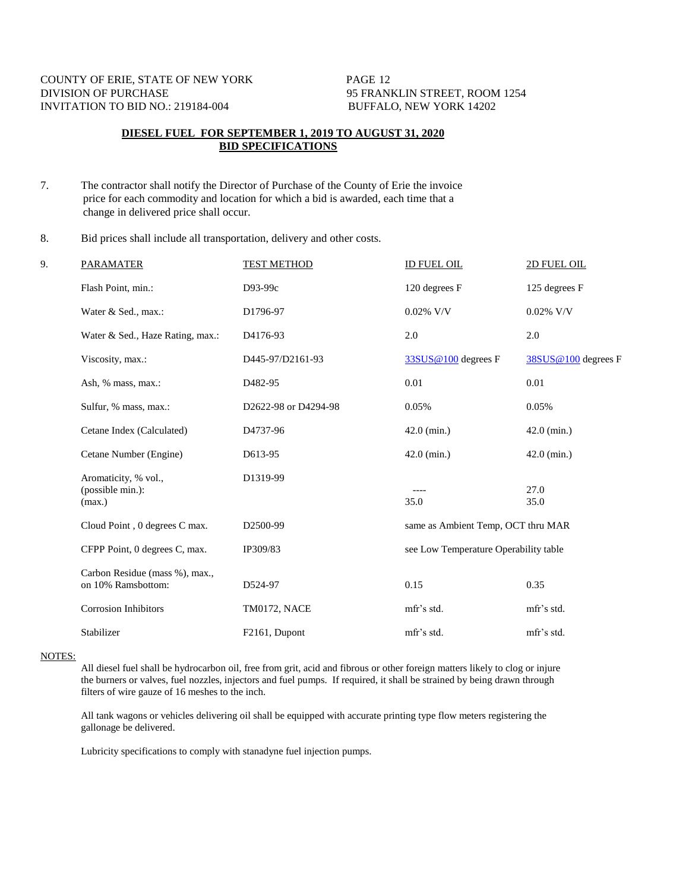### **DIESEL FUEL FOR SEPTEMBER 1, 2019 TO AUGUST 31, 2020 BID SPECIFICATIONS**

7. The contractor shall notify the Director of Purchase of the County of Erie the invoice price for each commodity and location for which a bid is awarded, each time that a change in delivered price shall occur.

8. Bid prices shall include all transportation, delivery and other costs.

| 9. | <b>PARAMATER</b>                                     | <b>TEST METHOD</b>         | <b>ID FUEL OIL</b>                    | 2D FUEL OIL         |
|----|------------------------------------------------------|----------------------------|---------------------------------------|---------------------|
|    | Flash Point, min.:                                   | D93-99c                    | 120 degrees F                         | 125 degrees F       |
|    | Water & Sed., max.:                                  | D1796-97                   | $0.02\%$ V/V                          | $0.02\%$ V/V        |
|    | Water & Sed., Haze Rating, max.:                     | D4176-93                   | 2.0                                   | 2.0                 |
|    | Viscosity, max.:                                     | D445-97/D2161-93           | 33SUS@100 degrees F                   | 38SUS@100 degrees F |
|    | Ash, % mass, max.:                                   | D <sub>482-95</sub>        | 0.01                                  | 0.01                |
|    | Sulfur, % mass, max.:                                | D2622-98 or D4294-98       | 0.05%                                 | 0.05%               |
|    | Cetane Index (Calculated)                            | D4737-96                   | $42.0$ (min.)                         | $42.0$ (min.)       |
|    | Cetane Number (Engine)                               | D613-95                    | $42.0$ (min.)                         | $42.0$ (min.)       |
|    | Aromaticity, % vol.,<br>(possible min.):<br>(max.)   | D1319-99                   | 35.0                                  | 27.0<br>35.0        |
|    | Cloud Point, 0 degrees C max.                        | D <sub>2500</sub> -99      | same as Ambient Temp, OCT thru MAR    |                     |
|    | CFPP Point, 0 degrees C, max.                        | IP309/83                   | see Low Temperature Operability table |                     |
|    | Carbon Residue (mass %), max.,<br>on 10% Ramsbottom: | D524-97                    | 0.15                                  | 0.35                |
|    | <b>Corrosion Inhibitors</b>                          | TM0172, NACE               | mfr's std.                            | mfr's std.          |
|    | Stabilizer                                           | F <sub>2161</sub> , Dupont | mfr's std.                            | mfr's std.          |

#### NOTES:

All diesel fuel shall be hydrocarbon oil, free from grit, acid and fibrous or other foreign matters likely to clog or injure the burners or valves, fuel nozzles, injectors and fuel pumps. If required, it shall be strained by being drawn through filters of wire gauze of 16 meshes to the inch.

All tank wagons or vehicles delivering oil shall be equipped with accurate printing type flow meters registering the gallonage be delivered.

Lubricity specifications to comply with stanadyne fuel injection pumps.